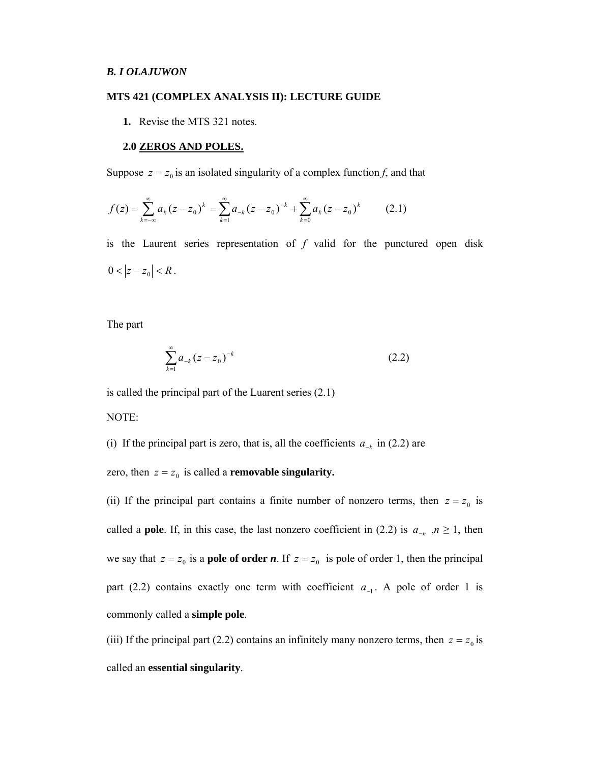### **MTS 421 (COMPLEX ANALYSIS II): LECTURE GUIDE**

**1.** Revise the MTS 321 notes.

#### **2.0 ZEROS AND POLES.**

Suppose  $z = z_0$  is an isolated singularity of a complex function *f*, and that

$$
f(z) = \sum_{k=-\infty}^{\infty} a_k (z - z_0)^k = \sum_{k=1}^{\infty} a_{-k} (z - z_0)^{-k} + \sum_{k=0}^{\infty} a_k (z - z_0)^k
$$
 (2.1)

is the Laurent series representation of *f* valid for the punctured open disk  $0 < |z - z_0| < R$ .

The part

$$
\sum_{k=1}^{\infty} a_{-k} (z - z_0)^{-k} \tag{2.2}
$$

is called the principal part of the Luarent series (2.1)

NOTE:

(i) If the principal part is zero, that is, all the coefficients  $a_{-k}$  in (2.2) are

zero, then  $z = z_0$  is called a **removable singularity.** 

(ii) If the principal part contains a finite number of nonzero terms, then  $z = z_0$  is called a **pole**. If, in this case, the last nonzero coefficient in (2.2) is  $a_{-n}$ ,  $n \ge 1$ , then we say that  $z = z_0$  is a **pole of order** *n*. If  $z = z_0$  is pole of order 1, then the principal part (2.2) contains exactly one term with coefficient  $a_{-1}$ . A pole of order 1 is commonly called a **simple pole**.

(iii) If the principal part (2.2) contains an infinitely many nonzero terms, then  $z = z_0$  is called an **essential singularity**.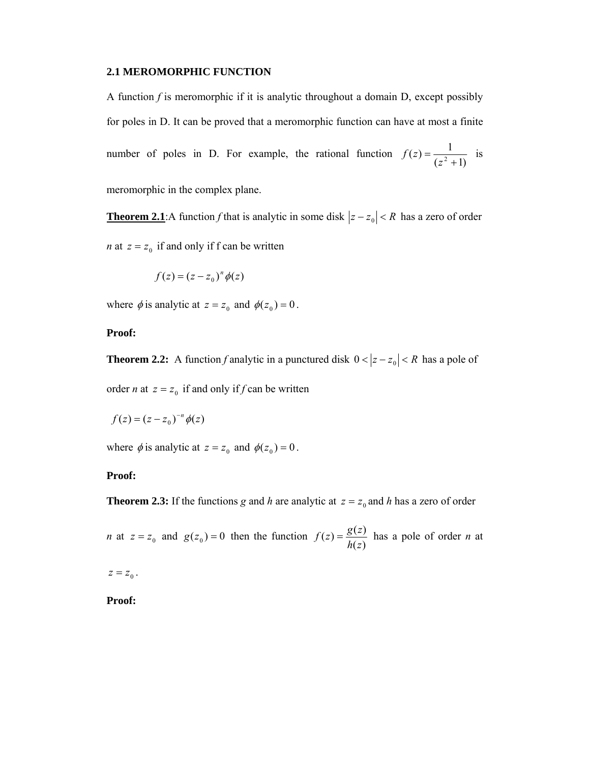### **2.1 MEROMORPHIC FUNCTION**

A function *f* is meromorphic if it is analytic throughout a domain D, except possibly for poles in D. It can be proved that a meromorphic function can have at most a finite number of poles in D. For example, the rational function  $f(z) = \frac{1}{(z^2 + 1)}$  is meromorphic in the complex plane.

**Theorem 2.1**:A function *f* that is analytic in some disk  $|z - z_0| < R$  has a zero of order *n* at  $z = z_0$  if and only if f can be written

$$
f(z) = (z - z_0)^n \phi(z)
$$

where  $\phi$  is analytic at  $z = z_0$  and  $\phi(z_0) = 0$ .

## **Proof:**

**Theorem 2.2:** A function *f* analytic in a punctured disk  $0 < |z - z_0| < R$  has a pole of order *n* at  $z = z_0$  if and only if *f* can be written

$$
f(z) = (z - z_0)^{-n} \phi(z)
$$

where  $\phi$  is analytic at  $z = z_0$  and  $\phi(z_0) = 0$ .

# **Proof:**

**Theorem 2.3:** If the functions *g* and *h* are analytic at  $z = z_0$  and *h* has a zero of order

*n* at  $z = z_0$  and  $g(z_0) = 0$  then the function  $f(z) = \frac{g(z)}{h(z)}$  has a pole of order *n* at

 $z = z_{\rm 0}$  .

**Proof:**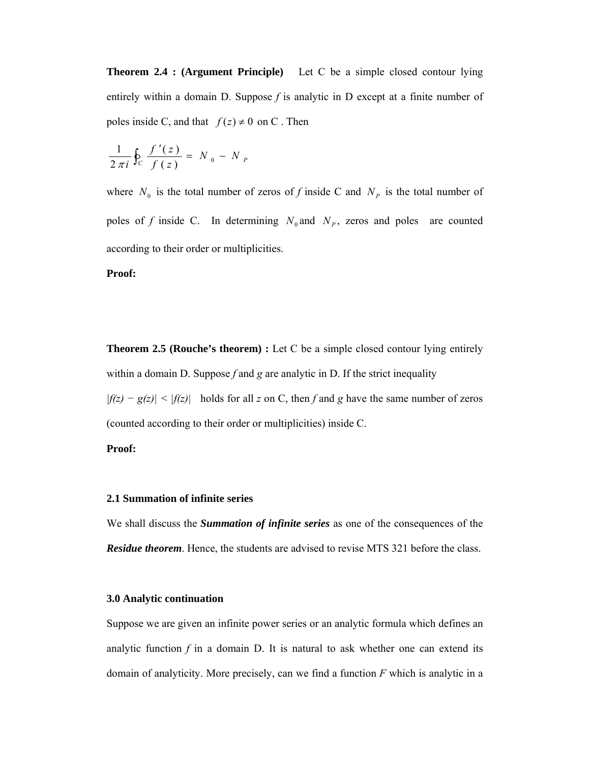**Theorem 2.4 : (Argument Principle)** Let C be a simple closed contour lying entirely within a domain D. Suppose  $f$  is analytic in D except at a finite number of poles inside C, and that  $f(z) \neq 0$  on C. Then

$$
\frac{1}{2 \pi i} \oint_C \frac{f'(z)}{f(z)} = N_0 - N_P
$$

where  $N_0$  is the total number of zeros of *f* inside C and  $N_p$  is the total number of poles of *f* inside C. In determining  $N_0$  and  $N_p$ , zeros and poles are counted according to their order or multiplicities.

### **Proof:**

**Theorem 2.5 (Rouche's theorem) :** Let C be a simple closed contour lying entirely within a domain D. Suppose *f* and *g* are analytic in D. If the strict inequality *|f(z) − g(z)| < |f(z)|* holds for all *z* on C, then *f* and *g* have the same number of zeros (counted according to their order or multiplicities) inside C.

### **Proof:**

## **2.1 Summation of infinite series**

We shall discuss the *Summation of infinite series* as one of the consequences of the *Residue theorem*. Hence, the students are advised to revise MTS 321 before the class.

### **3.0 Analytic continuation**

Suppose we are given an infinite power series or an analytic formula which defines an analytic function  $f$  in a domain  $D$ . It is natural to ask whether one can extend its domain of analyticity. More precisely, can we find a function *F* which is analytic in a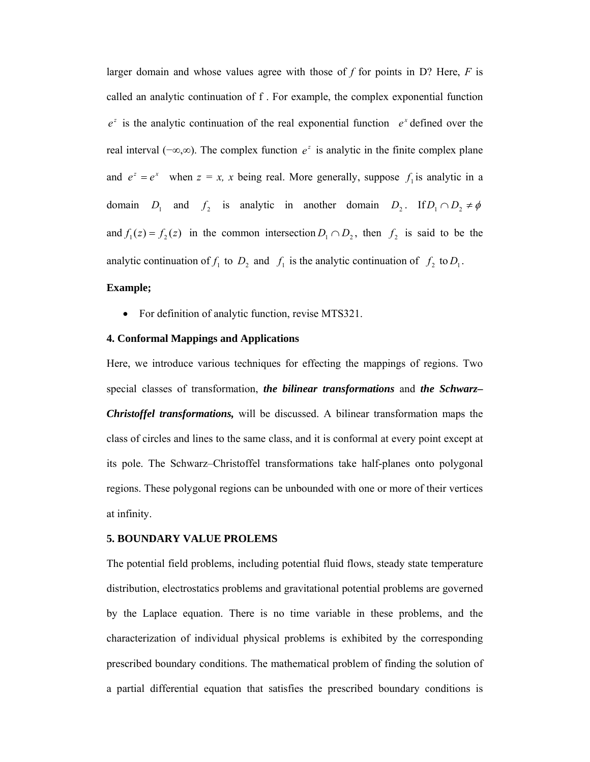larger domain and whose values agree with those of *f* for points in D? Here, *F* is called an analytic continuation of f . For example, the complex exponential function  $e^z$  is the analytic continuation of the real exponential function  $e^x$  defined over the real interval ( $-\infty$ , $\infty$ ). The complex function  $e^z$  is analytic in the finite complex plane and  $e^z = e^x$  when  $z = x$ , x being real. More generally, suppose  $f_1$  is analytic in a domain *D*<sub>1</sub> and *f*<sub>2</sub> is analytic in another domain *D*<sub>2</sub>. If  $D_1 \cap D_2 \neq \emptyset$ and  $f_1(z) = f_2(z)$  in the common intersection  $D_1 \cap D_2$ , then  $f_2$  is said to be the analytic continuation of  $f_1$  to  $D_2$  and  $f_1$  is the analytic continuation of  $f_2$  to  $D_1$ .

# **Example;**

• For definition of analytic function, revise MTS321.

### **4. Conformal Mappings and Applications**

Here, we introduce various techniques for effecting the mappings of regions. Two special classes of transformation, *the bilinear transformations* and *the Schwarz– Christoffel transformations,* will be discussed. A bilinear transformation maps the class of circles and lines to the same class, and it is conformal at every point except at its pole. The Schwarz–Christoffel transformations take half-planes onto polygonal regions. These polygonal regions can be unbounded with one or more of their vertices at infinity.

### **5. BOUNDARY VALUE PROLEMS**

The potential field problems, including potential fluid flows, steady state temperature distribution, electrostatics problems and gravitational potential problems are governed by the Laplace equation. There is no time variable in these problems, and the characterization of individual physical problems is exhibited by the corresponding prescribed boundary conditions. The mathematical problem of finding the solution of a partial differential equation that satisfies the prescribed boundary conditions is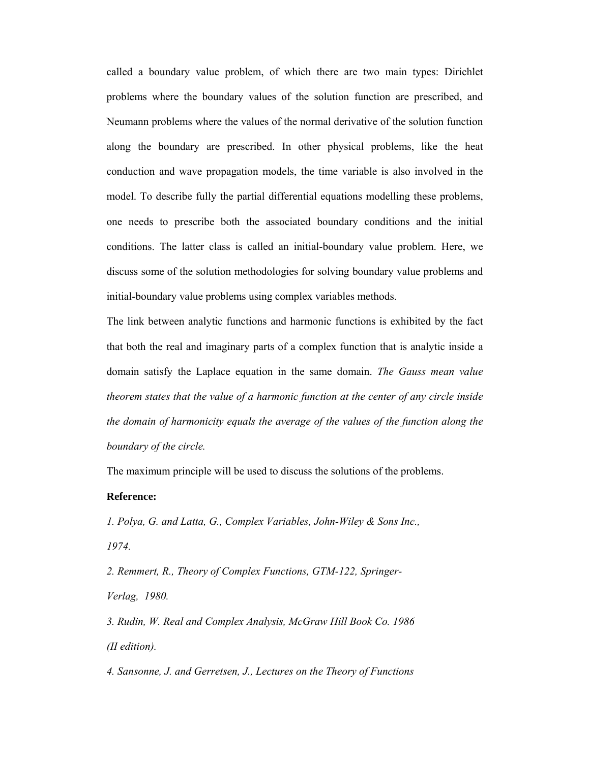called a boundary value problem, of which there are two main types: Dirichlet problems where the boundary values of the solution function are prescribed, and Neumann problems where the values of the normal derivative of the solution function along the boundary are prescribed. In other physical problems, like the heat conduction and wave propagation models, the time variable is also involved in the model. To describe fully the partial differential equations modelling these problems, one needs to prescribe both the associated boundary conditions and the initial conditions. The latter class is called an initial-boundary value problem. Here, we discuss some of the solution methodologies for solving boundary value problems and initial-boundary value problems using complex variables methods.

The link between analytic functions and harmonic functions is exhibited by the fact that both the real and imaginary parts of a complex function that is analytic inside a domain satisfy the Laplace equation in the same domain. *The Gauss mean value theorem states that the value of a harmonic function at the center of any circle inside the domain of harmonicity equals the average of the values of the function along the boundary of the circle.* 

The maximum principle will be used to discuss the solutions of the problems.

## **Reference:**

*1. Polya, G. and Latta, G., Complex Variables, John-Wiley & Sons Inc., 1974.* 

*2. Remmert, R., Theory of Complex Functions, GTM-122, Springer-Verlag, 1980.* 

*3. Rudin, W. Real and Complex Analysis, McGraw Hill Book Co. 1986 (II edition).* 

*4. Sansonne, J. and Gerretsen, J., Lectures on the Theory of Functions*